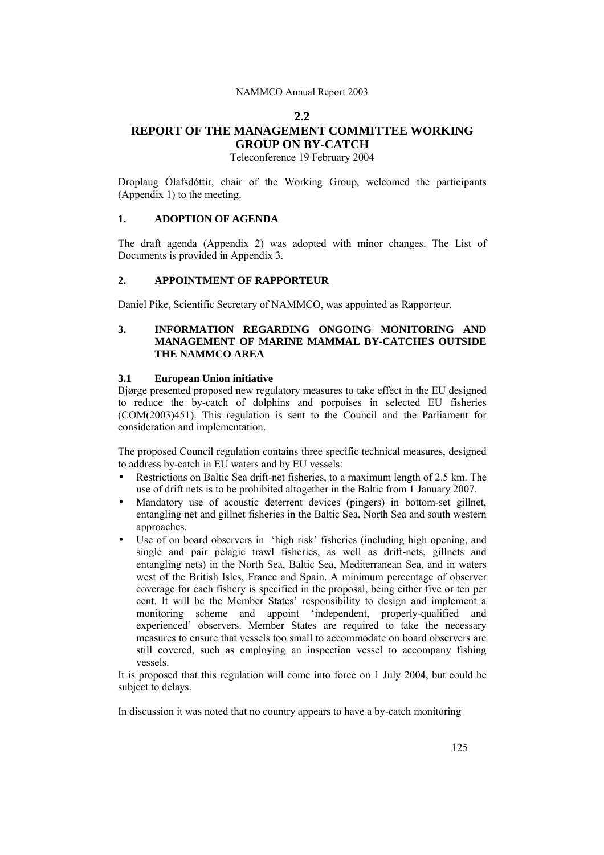### NAMMCO Annual Report 2003

#### **2.2**

# **REPORT OF THE MANAGEMENT COMMITTEE WORKING GROUP ON BY-CATCH**

Teleconference 19 February 2004

Droplaug Ólafsdóttir, chair of the Working Group, welcomed the participants (Appendix 1) to the meeting.

### **1. ADOPTION OF AGENDA**

The draft agenda (Appendix 2) was adopted with minor changes. The List of Documents is provided in Appendix 3.

#### **2. APPOINTMENT OF RAPPORTEUR**

Daniel Pike, Scientific Secretary of NAMMCO, was appointed as Rapporteur.

## **3. INFORMATION REGARDING ONGOING MONITORING AND MANAGEMENT OF MARINE MAMMAL BY-CATCHES OUTSIDE THE NAMMCO AREA**

#### **3.1 European Union initiative**

Bjørge presented proposed new regulatory measures to take effect in the EU designed to reduce the by-catch of dolphins and porpoises in selected EU fisheries (COM(2003)451). This regulation is sent to the Council and the Parliament for consideration and implementation.

The proposed Council regulation contains three specific technical measures, designed to address by-catch in EU waters and by EU vessels:

- Restrictions on Baltic Sea drift-net fisheries, to a maximum length of 2.5 km. The use of drift nets is to be prohibited altogether in the Baltic from 1 January 2007.
- Mandatory use of acoustic deterrent devices (pingers) in bottom-set gillnet, entangling net and gillnet fisheries in the Baltic Sea, North Sea and south western approaches.
- Use of on board observers in 'high risk' fisheries (including high opening, and single and pair pelagic trawl fisheries, as well as drift-nets, gillnets and entangling nets) in the North Sea, Baltic Sea, Mediterranean Sea, and in waters west of the British Isles, France and Spain. A minimum percentage of observer coverage for each fishery is specified in the proposal, being either five or ten per cent. It will be the Member States' responsibility to design and implement a monitoring scheme and appoint ëindependent, properly-qualified and experienced<sup>'</sup> observers. Member States are required to take the necessary measures to ensure that vessels too small to accommodate on board observers are still covered, such as employing an inspection vessel to accompany fishing vessels.

It is proposed that this regulation will come into force on 1 July 2004, but could be subject to delays.

In discussion it was noted that no country appears to have a by-catch monitoring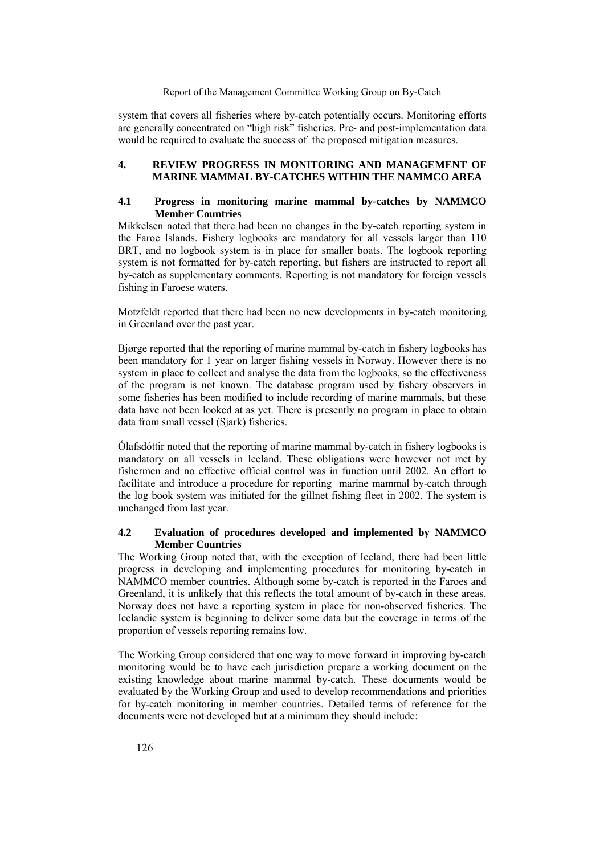#### Report of the Management Committee Working Group on By-Catch

system that covers all fisheries where by-catch potentially occurs. Monitoring efforts are generally concentrated on "high risk" fisheries. Pre- and post-implementation data would be required to evaluate the success of the proposed mitigation measures.

### **4. REVIEW PROGRESS IN MONITORING AND MANAGEMENT OF MARINE MAMMAL BY-CATCHES WITHIN THE NAMMCO AREA**

### **4.1 Progress in monitoring marine mammal by-catches by NAMMCO Member Countries**

Mikkelsen noted that there had been no changes in the by-catch reporting system in the Faroe Islands. Fishery logbooks are mandatory for all vessels larger than 110 BRT, and no logbook system is in place for smaller boats. The logbook reporting system is not formatted for by-catch reporting, but fishers are instructed to report all by-catch as supplementary comments. Reporting is not mandatory for foreign vessels fishing in Faroese waters.

Motzfeldt reported that there had been no new developments in by-catch monitoring in Greenland over the past year.

Bjørge reported that the reporting of marine mammal by-catch in fishery logbooks has been mandatory for 1 year on larger fishing vessels in Norway. However there is no system in place to collect and analyse the data from the logbooks, so the effectiveness of the program is not known. The database program used by fishery observers in some fisheries has been modified to include recording of marine mammals, but these data have not been looked at as yet. There is presently no program in place to obtain data from small vessel (Sjark) fisheries.

Olafsdóttir noted that the reporting of marine mammal by-catch in fishery logbooks is mandatory on all vessels in Iceland. These obligations were however not met by fishermen and no effective official control was in function until 2002. An effort to facilitate and introduce a procedure for reporting marine mammal by-catch through the log book system was initiated for the gillnet fishing fleet in 2002. The system is unchanged from last year.

### **4.2 Evaluation of procedures developed and implemented by NAMMCO Member Countries**

The Working Group noted that, with the exception of Iceland, there had been little progress in developing and implementing procedures for monitoring by-catch in NAMMCO member countries. Although some by-catch is reported in the Faroes and Greenland, it is unlikely that this reflects the total amount of by-catch in these areas. Norway does not have a reporting system in place for non-observed fisheries. The Icelandic system is beginning to deliver some data but the coverage in terms of the proportion of vessels reporting remains low.

The Working Group considered that one way to move forward in improving by-catch monitoring would be to have each jurisdiction prepare a working document on the existing knowledge about marine mammal by-catch. These documents would be evaluated by the Working Group and used to develop recommendations and priorities for by-catch monitoring in member countries. Detailed terms of reference for the documents were not developed but at a minimum they should include: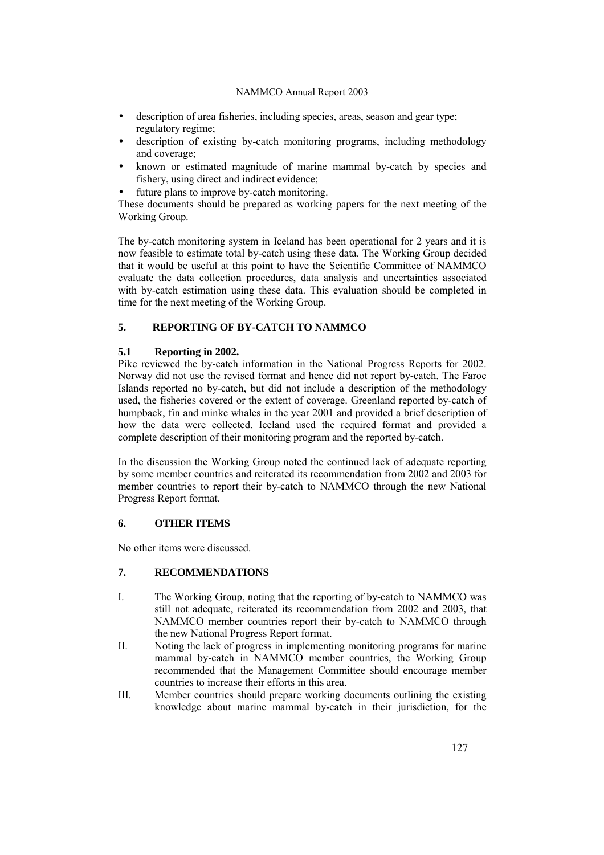### NAMMCO Annual Report 2003

- description of area fisheries, including species, areas, season and gear type; regulatory regime;
- description of existing by-catch monitoring programs, including methodology and coverage;
- known or estimated magnitude of marine mammal by-catch by species and fishery, using direct and indirect evidence;
- future plans to improve by-catch monitoring.

These documents should be prepared as working papers for the next meeting of the Working Group.

The by-catch monitoring system in Iceland has been operational for 2 years and it is now feasible to estimate total by-catch using these data. The Working Group decided that it would be useful at this point to have the Scientific Committee of NAMMCO evaluate the data collection procedures, data analysis and uncertainties associated with by-catch estimation using these data. This evaluation should be completed in time for the next meeting of the Working Group.

## **5. REPORTING OF BY-CATCH TO NAMMCO**

### **5.1 Reporting in 2002.**

Pike reviewed the by-catch information in the National Progress Reports for 2002. Norway did not use the revised format and hence did not report by-catch. The Faroe Islands reported no by-catch, but did not include a description of the methodology used, the fisheries covered or the extent of coverage. Greenland reported by-catch of humpback, fin and minke whales in the year 2001 and provided a brief description of how the data were collected. Iceland used the required format and provided a complete description of their monitoring program and the reported by-catch.

In the discussion the Working Group noted the continued lack of adequate reporting by some member countries and reiterated its recommendation from 2002 and 2003 for member countries to report their by-catch to NAMMCO through the new National Progress Report format.

## **6. OTHER ITEMS**

No other items were discussed.

## **7. RECOMMENDATIONS**

- I. The Working Group, noting that the reporting of by-catch to NAMMCO was still not adequate, reiterated its recommendation from 2002 and 2003, that NAMMCO member countries report their by-catch to NAMMCO through the new National Progress Report format.
- II. Noting the lack of progress in implementing monitoring programs for marine mammal by-catch in NAMMCO member countries, the Working Group recommended that the Management Committee should encourage member countries to increase their efforts in this area.
- III. Member countries should prepare working documents outlining the existing knowledge about marine mammal by-catch in their jurisdiction, for the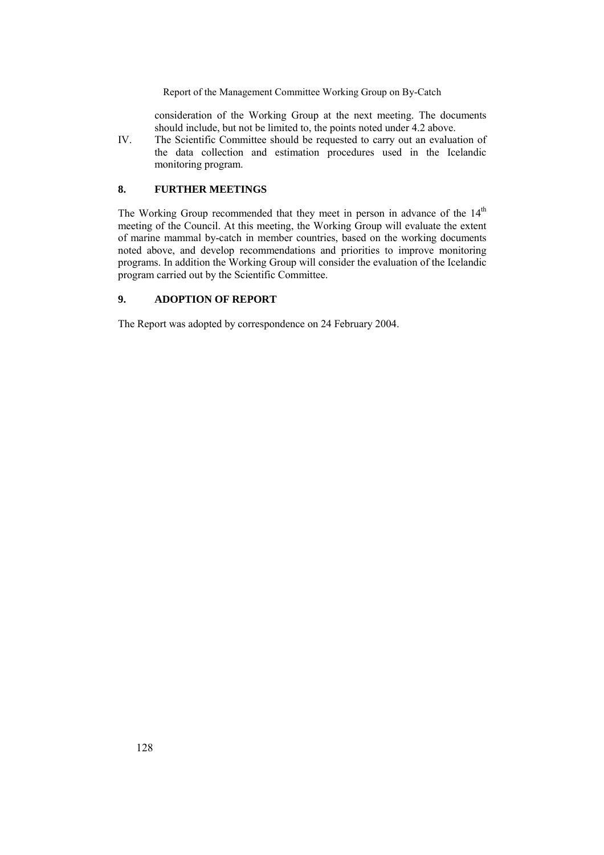Report of the Management Committee Working Group on By-Catch

consideration of the Working Group at the next meeting. The documents should include, but not be limited to, the points noted under 4.2 above.

IV. The Scientific Committee should be requested to carry out an evaluation of the data collection and estimation procedures used in the Icelandic monitoring program.

## **8. FURTHER MEETINGS**

The Working Group recommended that they meet in person in advance of the 14<sup>th</sup> meeting of the Council. At this meeting, the Working Group will evaluate the extent of marine mammal by-catch in member countries, based on the working documents noted above, and develop recommendations and priorities to improve monitoring programs. In addition the Working Group will consider the evaluation of the Icelandic program carried out by the Scientific Committee.

## **9. ADOPTION OF REPORT**

The Report was adopted by correspondence on 24 February 2004.